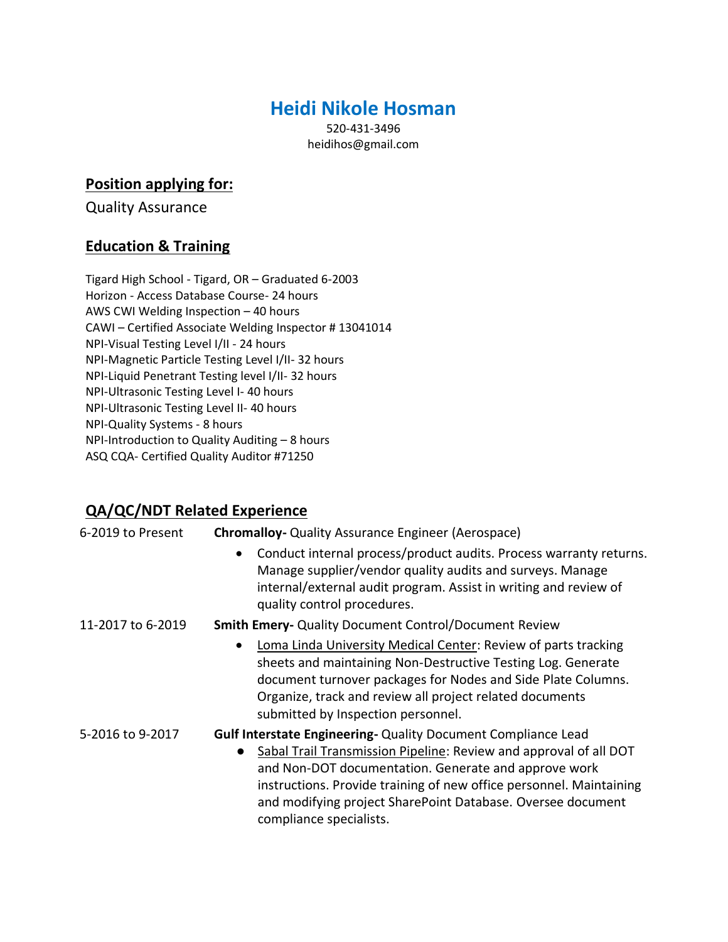## **Heidi Nikole Hosman**

520-431-3496 [heidihos@gmail.com](mailto:heidihos@gmail.com)

## **Position applying for:**

Quality Assurance

## **Education & Training**

Tigard High School - Tigard, OR – Graduated 6-2003 Horizon - Access Database Course- 24 hours AWS CWI Welding Inspection – 40 hours CAWI – Certified Associate Welding Inspector # 13041014 NPI-Visual Testing Level I/II - 24 hours NPI-Magnetic Particle Testing Level I/II- 32 hours NPI-Liquid Penetrant Testing level I/II- 32 hours NPI-Ultrasonic Testing Level I- 40 hours NPI-Ultrasonic Testing Level II- 40 hours NPI-Quality Systems - 8 hours NPI-Introduction to Quality Auditing – 8 hours ASQ CQA- Certified Quality Auditor #71250

## **QA/QC/NDT Related Experience**

| 6-2019 to Present | <b>Chromalloy-</b> Quality Assurance Engineer (Aerospace)                                                                                                                                                                                                                                                                                                          |
|-------------------|--------------------------------------------------------------------------------------------------------------------------------------------------------------------------------------------------------------------------------------------------------------------------------------------------------------------------------------------------------------------|
|                   | Conduct internal process/product audits. Process warranty returns.<br>Manage supplier/vendor quality audits and surveys. Manage<br>internal/external audit program. Assist in writing and review of<br>quality control procedures.                                                                                                                                 |
| 11-2017 to 6-2019 | <b>Smith Emery- Quality Document Control/Document Review</b>                                                                                                                                                                                                                                                                                                       |
|                   | Loma Linda University Medical Center: Review of parts tracking<br>sheets and maintaining Non-Destructive Testing Log. Generate<br>document turnover packages for Nodes and Side Plate Columns.<br>Organize, track and review all project related documents<br>submitted by Inspection personnel.                                                                   |
| 5-2016 to 9-2017  | <b>Gulf Interstate Engineering- Quality Document Compliance Lead</b><br>Sabal Trail Transmission Pipeline: Review and approval of all DOT<br>and Non-DOT documentation. Generate and approve work<br>instructions. Provide training of new office personnel. Maintaining<br>and modifying project SharePoint Database. Oversee document<br>compliance specialists. |